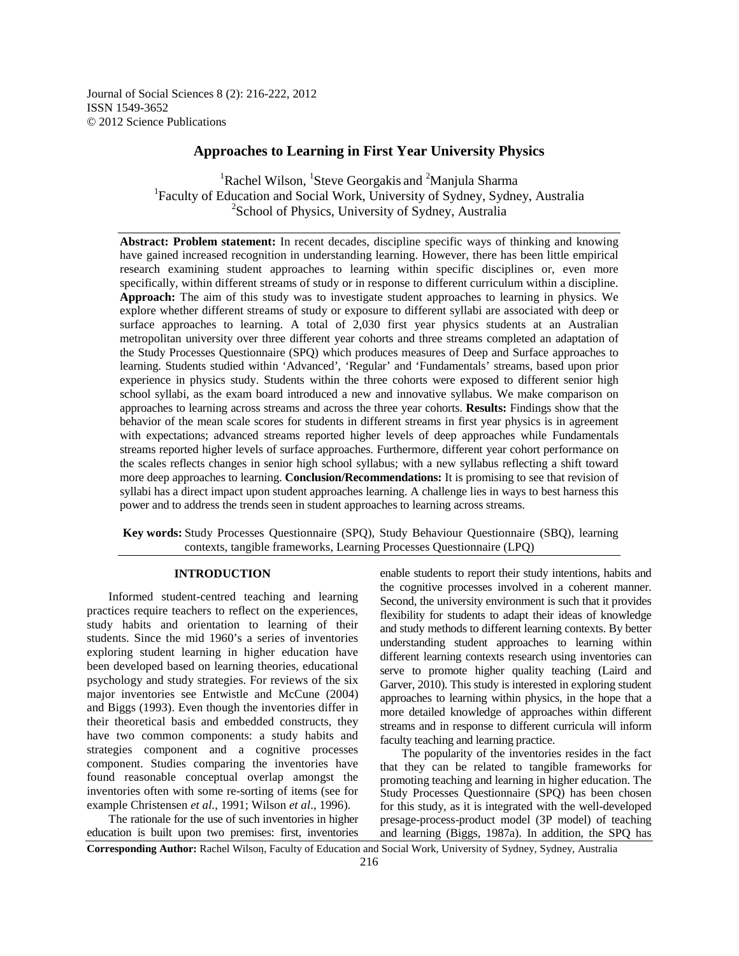Journal of Social Sciences 8 (2): 216-222, 2012 ISSN 1549-3652 © 2012 Science Publications

# **Approaches to Learning in First Year University Physics**

<sup>1</sup>Rachel Wilson, <sup>1</sup>Steve Georgakis and <sup>2</sup>Manjula Sharma <sup>1</sup>Faculty of Education and Social Work, University of Sydney, Sydney, Australia <sup>2</sup>School of Physics, University of Sydney, Australia

**Abstract: Problem statement:** In recent decades, discipline specific ways of thinking and knowing have gained increased recognition in understanding learning. However, there has been little empirical research examining student approaches to learning within specific disciplines or, even more specifically, within different streams of study or in response to different curriculum within a discipline. **Approach:** The aim of this study was to investigate student approaches to learning in physics. We explore whether different streams of study or exposure to different syllabi are associated with deep or surface approaches to learning. A total of 2,030 first year physics students at an Australian metropolitan university over three different year cohorts and three streams completed an adaptation of the Study Processes Questionnaire (SPQ) which produces measures of Deep and Surface approaches to learning. Students studied within 'Advanced', 'Regular' and 'Fundamentals' streams, based upon prior experience in physics study. Students within the three cohorts were exposed to different senior high school syllabi, as the exam board introduced a new and innovative syllabus. We make comparison on approaches to learning across streams and across the three year cohorts. **Results:** Findings show that the behavior of the mean scale scores for students in different streams in first year physics is in agreement with expectations; advanced streams reported higher levels of deep approaches while Fundamentals streams reported higher levels of surface approaches. Furthermore, different year cohort performance on the scales reflects changes in senior high school syllabus; with a new syllabus reflecting a shift toward more deep approaches to learning. **Conclusion/Recommendations:** It is promising to see that revision of syllabi has a direct impact upon student approaches learning. A challenge lies in ways to best harness this power and to address the trends seen in student approaches to learning across streams.

**Key words:** Study Processes Questionnaire (SPQ), Study Behaviour Questionnaire (SBQ), learning contexts, tangible frameworks, Learning Processes Questionnaire (LPQ)

### **INTRODUCTION**

 Informed student-centred teaching and learning practices require teachers to reflect on the experiences, study habits and orientation to learning of their students. Since the mid 1960's a series of inventories exploring student learning in higher education have been developed based on learning theories, educational psychology and study strategies. For reviews of the six major inventories see Entwistle and McCune (2004) and Biggs (1993). Even though the inventories differ in their theoretical basis and embedded constructs, they have two common components: a study habits and strategies component and a cognitive processes component. Studies comparing the inventories have found reasonable conceptual overlap amongst the inventories often with some re-sorting of items (see for example Christensen *et al*., 1991; Wilson *et al*., 1996).

 The rationale for the use of such inventories in higher education is built upon two premises: first, inventories enable students to report their study intentions, habits and the cognitive processes involved in a coherent manner. Second, the university environment is such that it provides flexibility for students to adapt their ideas of knowledge and study methods to different learning contexts. By better understanding student approaches to learning within different learning contexts research using inventories can serve to promote higher quality teaching (Laird and Garver, 2010). This study is interested in exploring student approaches to learning within physics, in the hope that a more detailed knowledge of approaches within different streams and in response to different curricula will inform faculty teaching and learning practice.

 The popularity of the inventories resides in the fact that they can be related to tangible frameworks for promoting teaching and learning in higher education. The Study Processes Questionnaire (SPQ) has been chosen for this study, as it is integrated with the well-developed presage-process-product model (3P model) of teaching and learning (Biggs, 1987a). In addition, the SPQ has

**Corresponding Author:** Rachel Wilson, Faculty of Education and Social Work, University of Sydney, Sydney, Australia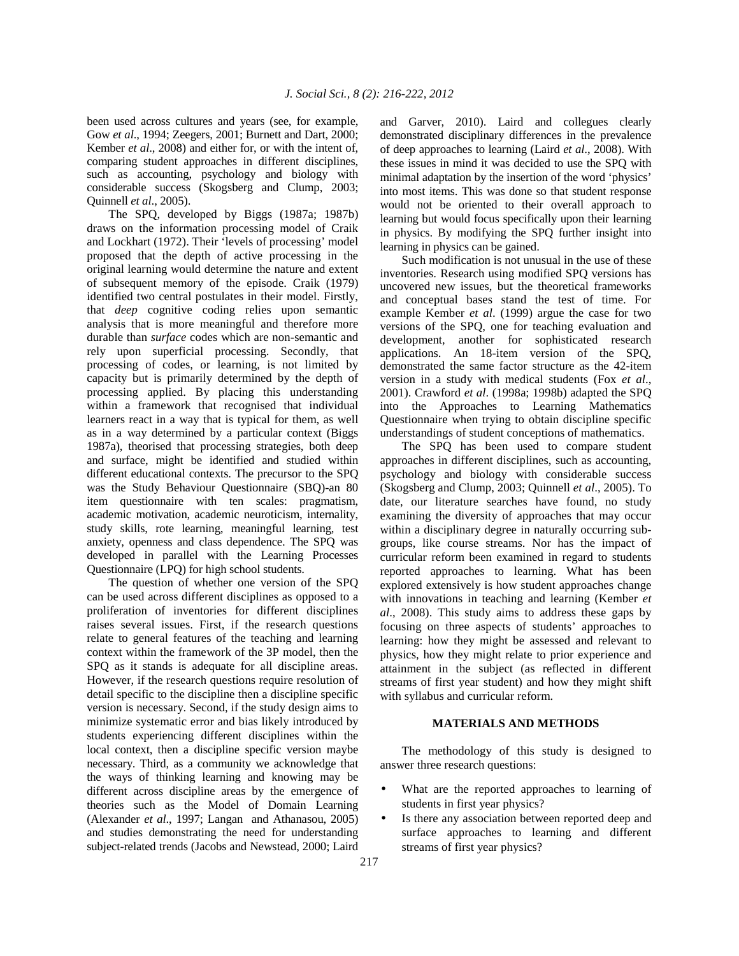been used across cultures and years (see, for example, Gow *et al*., 1994; Zeegers, 2001; Burnett and Dart, 2000; Kember *et al*., 2008) and either for, or with the intent of, comparing student approaches in different disciplines, such as accounting, psychology and biology with considerable success (Skogsberg and Clump, 2003; Quinnell *et al*., 2005).

 The SPQ, developed by Biggs (1987a; 1987b) draws on the information processing model of Craik and Lockhart (1972). Their 'levels of processing' model proposed that the depth of active processing in the original learning would determine the nature and extent of subsequent memory of the episode. Craik (1979) identified two central postulates in their model. Firstly, that *deep* cognitive coding relies upon semantic analysis that is more meaningful and therefore more durable than *surface* codes which are non-semantic and rely upon superficial processing. Secondly, that processing of codes, or learning, is not limited by capacity but is primarily determined by the depth of processing applied. By placing this understanding within a framework that recognised that individual learners react in a way that is typical for them, as well as in a way determined by a particular context (Biggs 1987a), theorised that processing strategies, both deep and surface, might be identified and studied within different educational contexts. The precursor to the SPQ was the Study Behaviour Questionnaire (SBQ)-an 80 item questionnaire with ten scales: pragmatism, academic motivation, academic neuroticism, internality, study skills, rote learning, meaningful learning, test anxiety, openness and class dependence. The SPQ was developed in parallel with the Learning Processes Questionnaire (LPQ) for high school students.

 The question of whether one version of the SPQ can be used across different disciplines as opposed to a proliferation of inventories for different disciplines raises several issues. First, if the research questions relate to general features of the teaching and learning context within the framework of the 3P model, then the SPQ as it stands is adequate for all discipline areas. However, if the research questions require resolution of detail specific to the discipline then a discipline specific version is necessary. Second, if the study design aims to minimize systematic error and bias likely introduced by students experiencing different disciplines within the local context, then a discipline specific version maybe necessary. Third, as a community we acknowledge that the ways of thinking learning and knowing may be different across discipline areas by the emergence of theories such as the Model of Domain Learning (Alexander *et al*., 1997; Langan and Athanasou, 2005) and studies demonstrating the need for understanding subject-related trends (Jacobs and Newstead, 2000; Laird and Garver, 2010). Laird and collegues clearly demonstrated disciplinary differences in the prevalence of deep approaches to learning (Laird *et al*., 2008). With these issues in mind it was decided to use the SPQ with minimal adaptation by the insertion of the word 'physics' into most items. This was done so that student response would not be oriented to their overall approach to learning but would focus specifically upon their learning in physics. By modifying the SPQ further insight into learning in physics can be gained.

 Such modification is not unusual in the use of these inventories. Research using modified SPQ versions has uncovered new issues, but the theoretical frameworks and conceptual bases stand the test of time. For example Kember *et al*. (1999) argue the case for two versions of the SPQ, one for teaching evaluation and development, another for sophisticated research applications. An 18-item version of the SPQ, demonstrated the same factor structure as the 42-item version in a study with medical students (Fox *et al*., 2001). Crawford *et al*. (1998a; 1998b) adapted the SPQ into the Approaches to Learning Mathematics Questionnaire when trying to obtain discipline specific understandings of student conceptions of mathematics.

 The SPQ has been used to compare student approaches in different disciplines, such as accounting, psychology and biology with considerable success (Skogsberg and Clump, 2003; Quinnell *et al*., 2005). To date, our literature searches have found, no study examining the diversity of approaches that may occur within a disciplinary degree in naturally occurring subgroups, like course streams. Nor has the impact of curricular reform been examined in regard to students reported approaches to learning. What has been explored extensively is how student approaches change with innovations in teaching and learning (Kember *et al*., 2008). This study aims to address these gaps by focusing on three aspects of students' approaches to learning: how they might be assessed and relevant to physics, how they might relate to prior experience and attainment in the subject (as reflected in different streams of first year student) and how they might shift with syllabus and curricular reform.

## **MATERIALS AND METHODS**

 The methodology of this study is designed to answer three research questions:

- What are the reported approaches to learning of students in first year physics?
- Is there any association between reported deep and surface approaches to learning and different streams of first year physics?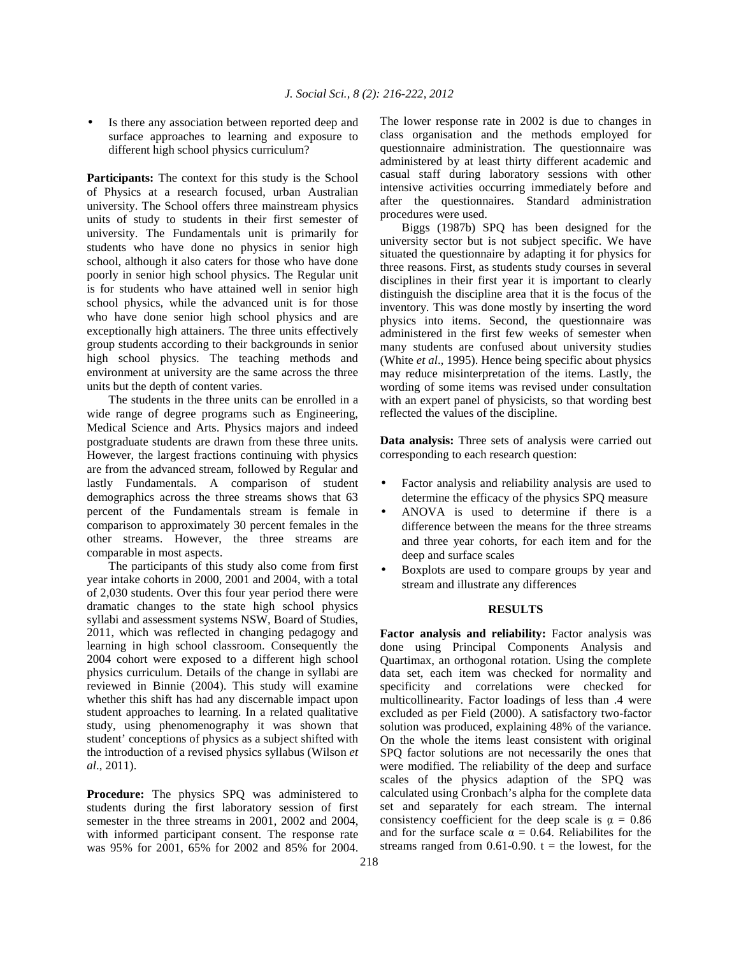Is there any association between reported deep and surface approaches to learning and exposure to different high school physics curriculum?

**Participants:** The context for this study is the School of Physics at a research focused, urban Australian university. The School offers three mainstream physics units of study to students in their first semester of university. The Fundamentals unit is primarily for students who have done no physics in senior high school, although it also caters for those who have done poorly in senior high school physics. The Regular unit is for students who have attained well in senior high school physics, while the advanced unit is for those who have done senior high school physics and are exceptionally high attainers. The three units effectively group students according to their backgrounds in senior high school physics. The teaching methods and environment at university are the same across the three units but the depth of content varies.

 The students in the three units can be enrolled in a wide range of degree programs such as Engineering, Medical Science and Arts. Physics majors and indeed postgraduate students are drawn from these three units. However, the largest fractions continuing with physics are from the advanced stream, followed by Regular and lastly Fundamentals. A comparison of student demographics across the three streams shows that 63 percent of the Fundamentals stream is female in comparison to approximately 30 percent females in the other streams. However, the three streams are comparable in most aspects.

 The participants of this study also come from first year intake cohorts in 2000, 2001 and 2004, with a total of 2,030 students. Over this four year period there were dramatic changes to the state high school physics syllabi and assessment systems NSW, Board of Studies, 2011, which was reflected in changing pedagogy and learning in high school classroom. Consequently the 2004 cohort were exposed to a different high school physics curriculum. Details of the change in syllabi are reviewed in Binnie (2004). This study will examine whether this shift has had any discernable impact upon student approaches to learning. In a related qualitative study, using phenomenography it was shown that student' conceptions of physics as a subject shifted with the introduction of a revised physics syllabus (Wilson *et al*., 2011).

**Procedure:** The physics SPQ was administered to students during the first laboratory session of first semester in the three streams in 2001, 2002 and 2004, with informed participant consent. The response rate was 95% for 2001, 65% for 2002 and 85% for 2004. The lower response rate in 2002 is due to changes in class organisation and the methods employed for questionnaire administration. The questionnaire was administered by at least thirty different academic and casual staff during laboratory sessions with other intensive activities occurring immediately before and after the questionnaires. Standard administration procedures were used.

 Biggs (1987b) SPQ has been designed for the university sector but is not subject specific. We have situated the questionnaire by adapting it for physics for three reasons. First, as students study courses in several disciplines in their first year it is important to clearly distinguish the discipline area that it is the focus of the inventory. This was done mostly by inserting the word physics into items. Second, the questionnaire was administered in the first few weeks of semester when many students are confused about university studies (White *et al*., 1995). Hence being specific about physics may reduce misinterpretation of the items. Lastly, the wording of some items was revised under consultation with an expert panel of physicists, so that wording best reflected the values of the discipline.

**Data analysis:** Three sets of analysis were carried out corresponding to each research question:

- Factor analysis and reliability analysis are used to determine the efficacy of the physics SPQ measure
- ANOVA is used to determine if there is a difference between the means for the three streams and three year cohorts, for each item and for the deep and surface scales
- Boxplots are used to compare groups by year and stream and illustrate any differences

## **RESULTS**

Factor analysis and reliability: Factor analysis was done using Principal Components Analysis and Quartimax, an orthogonal rotation. Using the complete data set, each item was checked for normality and specificity and correlations were checked for multicollinearity. Factor loadings of less than .4 were excluded as per Field (2000). A satisfactory two-factor solution was produced, explaining 48% of the variance. On the whole the items least consistent with original SPQ factor solutions are not necessarily the ones that were modified. The reliability of the deep and surface scales of the physics adaption of the SPQ was calculated using Cronbach's alpha for the complete data set and separately for each stream. The internal consistency coefficient for the deep scale is  $\alpha = 0.86$ and for the surface scale  $\alpha = 0.64$ . Reliabilites for the streams ranged from  $0.61-0.90$ .  $t =$  the lowest, for the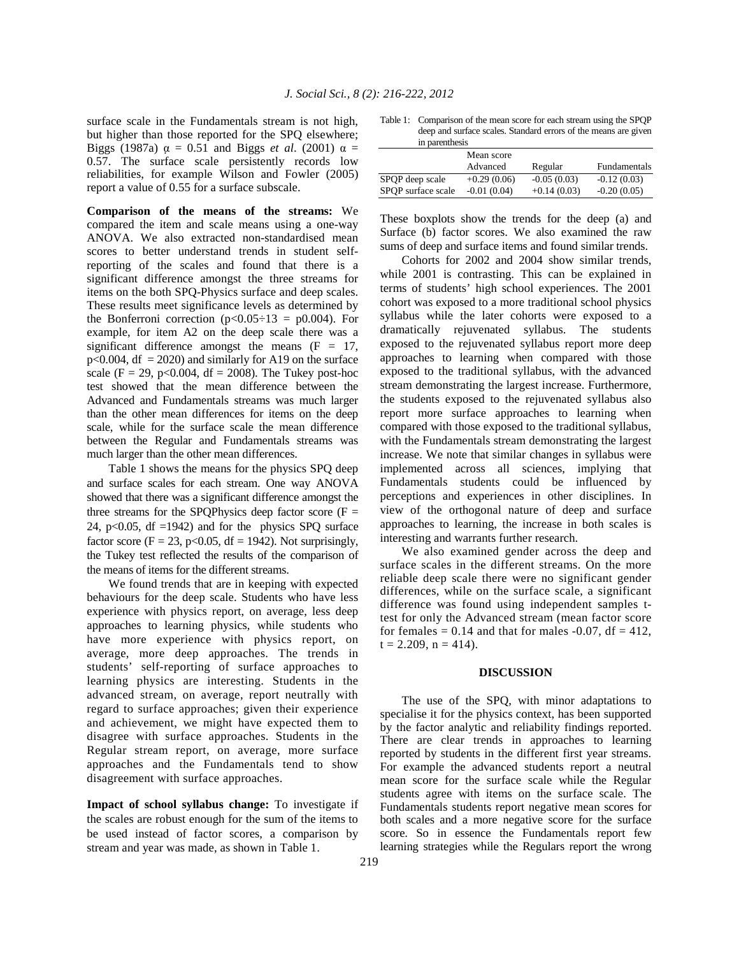surface scale in the Fundamentals stream is not high, but higher than those reported for the SPQ elsewhere; Biggs (1987a)  $\alpha = 0.51$  and Biggs *et al.* (2001)  $\alpha =$ 0.57. The surface scale persistently records low reliabilities, for example Wilson and Fowler (2005) report a value of 0.55 for a surface subscale.

**Comparison of the means of the streams:** We compared the item and scale means using a one-way ANOVA. We also extracted non-standardised mean scores to better understand trends in student selfreporting of the scales and found that there is a significant difference amongst the three streams for items on the both SPQ-Physics surface and deep scales. These results meet significance levels as determined by the Bonferroni correction ( $p < 0.05 \div 13 = p0.004$ ). For example, for item A2 on the deep scale there was a significant difference amongst the means  $(F = 17)$ ,  $p<0.004$ , df = 2020) and similarly for A19 on the surface scale (F = 29, p<0.004, df = 2008). The Tukey post-hoc test showed that the mean difference between the Advanced and Fundamentals streams was much larger than the other mean differences for items on the deep scale, while for the surface scale the mean difference between the Regular and Fundamentals streams was much larger than the other mean differences.

 Table 1 shows the means for the physics SPQ deep and surface scales for each stream. One way ANOVA showed that there was a significant difference amongst the three streams for the SPQPhysics deep factor score ( $F =$ 24, p $<0.05$ , df =1942) and for the physics SPQ surface factor score ( $F = 23$ , p<0.05, df = 1942). Not surprisingly, the Tukey test reflected the results of the comparison of the means of items for the different streams.

 We found trends that are in keeping with expected behaviours for the deep scale. Students who have less experience with physics report, on average, less deep approaches to learning physics, while students who have more experience with physics report, on average, more deep approaches. The trends in students' self-reporting of surface approaches to learning physics are interesting. Students in the advanced stream, on average, report neutrally with regard to surface approaches; given their experience and achievement, we might have expected them to disagree with surface approaches. Students in the Regular stream report, on average, more surface approaches and the Fundamentals tend to show disagreement with surface approaches.

**Impact of school syllabus change:** To investigate if the scales are robust enough for the sum of the items to be used instead of factor scores, a comparison by stream and year was made, as shown in Table 1.

Table 1: Comparison of the mean score for each stream using the SPQP deep and surface scales. Standard errors of the means are given in parenthesis

|                    | Mean score<br>Advanced | Regular       | Fundamentals  |
|--------------------|------------------------|---------------|---------------|
| SPOP deep scale    | $+0.29(0.06)$          | $-0.05(0.03)$ | $-0.12(0.03)$ |
| SPOP surface scale | $-0.01(0.04)$          | $+0.14(0.03)$ | $-0.20(0.05)$ |

These boxplots show the trends for the deep (a) and Surface (b) factor scores. We also examined the raw sums of deep and surface items and found similar trends.

 Cohorts for 2002 and 2004 show similar trends, while 2001 is contrasting. This can be explained in terms of students' high school experiences. The 2001 cohort was exposed to a more traditional school physics syllabus while the later cohorts were exposed to a dramatically rejuvenated syllabus. The students exposed to the rejuvenated syllabus report more deep approaches to learning when compared with those exposed to the traditional syllabus, with the advanced stream demonstrating the largest increase. Furthermore, the students exposed to the rejuvenated syllabus also report more surface approaches to learning when compared with those exposed to the traditional syllabus, with the Fundamentals stream demonstrating the largest increase. We note that similar changes in syllabus were implemented across all sciences, implying that Fundamentals students could be influenced by perceptions and experiences in other disciplines. In view of the orthogonal nature of deep and surface approaches to learning, the increase in both scales is interesting and warrants further research.

 We also examined gender across the deep and surface scales in the different streams. On the more reliable deep scale there were no significant gender differences, while on the surface scale, a significant difference was found using independent samples ttest for only the Advanced stream (mean factor score for females =  $0.14$  and that for males -0.07, df = 412,  $t = 2.209$ ,  $n = 414$ ).

#### **DISCUSSION**

 The use of the SPQ, with minor adaptations to specialise it for the physics context, has been supported by the factor analytic and reliability findings reported. There are clear trends in approaches to learning reported by students in the different first year streams. For example the advanced students report a neutral mean score for the surface scale while the Regular students agree with items on the surface scale. The Fundamentals students report negative mean scores for both scales and a more negative score for the surface score. So in essence the Fundamentals report few learning strategies while the Regulars report the wrong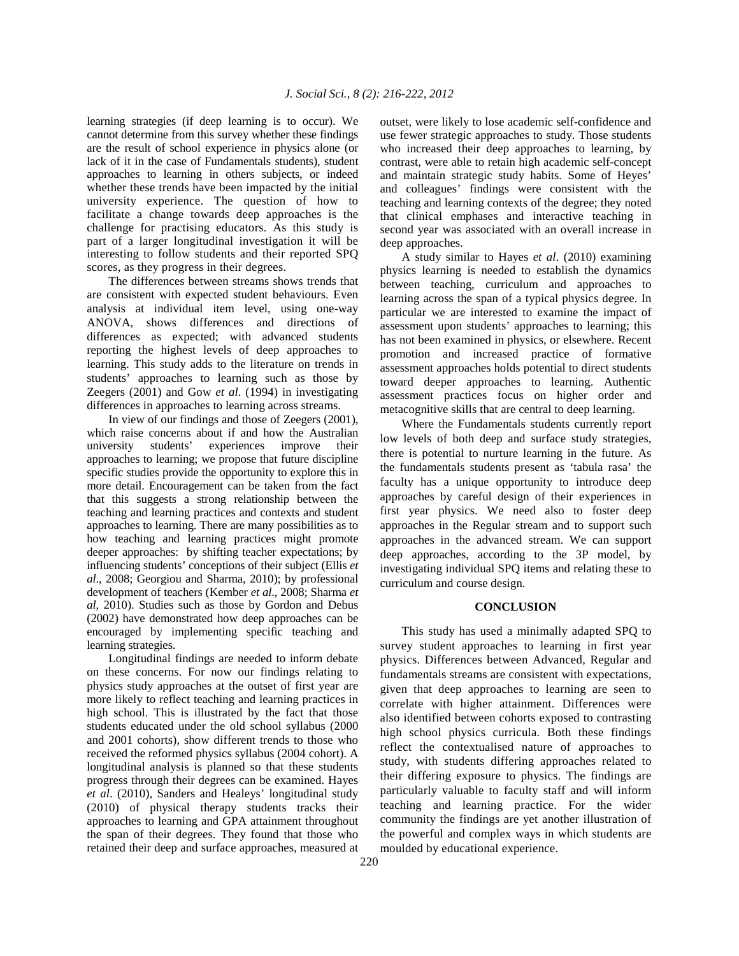learning strategies (if deep learning is to occur). We cannot determine from this survey whether these findings are the result of school experience in physics alone (or lack of it in the case of Fundamentals students), student approaches to learning in others subjects, or indeed whether these trends have been impacted by the initial university experience. The question of how to facilitate a change towards deep approaches is the challenge for practising educators. As this study is part of a larger longitudinal investigation it will be interesting to follow students and their reported SPQ scores, as they progress in their degrees.

 The differences between streams shows trends that are consistent with expected student behaviours. Even analysis at individual item level, using one-way ANOVA, shows differences and directions of differences as expected; with advanced students reporting the highest levels of deep approaches to learning. This study adds to the literature on trends in students' approaches to learning such as those by Zeegers (2001) and Gow *et al*. (1994) in investigating differences in approaches to learning across streams.

 In view of our findings and those of Zeegers (2001), which raise concerns about if and how the Australian university students' experiences improve their approaches to learning; we propose that future discipline specific studies provide the opportunity to explore this in more detail. Encouragement can be taken from the fact that this suggests a strong relationship between the teaching and learning practices and contexts and student approaches to learning. There are many possibilities as to how teaching and learning practices might promote deeper approaches: by shifting teacher expectations; by influencing students' conceptions of their subject (Ellis *et al*., 2008; Georgiou and Sharma, 2010); by professional development of teachers (Kember *et al*., 2008; Sharma *et al*, 2010). Studies such as those by Gordon and Debus (2002) have demonstrated how deep approaches can be encouraged by implementing specific teaching and learning strategies.

 Longitudinal findings are needed to inform debate on these concerns. For now our findings relating to physics study approaches at the outset of first year are more likely to reflect teaching and learning practices in high school. This is illustrated by the fact that those students educated under the old school syllabus (2000 and 2001 cohorts), show different trends to those who received the reformed physics syllabus (2004 cohort). A longitudinal analysis is planned so that these students progress through their degrees can be examined. Hayes *et al*. (2010), Sanders and Healeys' longitudinal study (2010) of physical therapy students tracks their approaches to learning and GPA attainment throughout the span of their degrees. They found that those who retained their deep and surface approaches, measured at

outset, were likely to lose academic self-confidence and use fewer strategic approaches to study. Those students who increased their deep approaches to learning, by contrast, were able to retain high academic self-concept and maintain strategic study habits. Some of Heyes' and colleagues' findings were consistent with the teaching and learning contexts of the degree; they noted that clinical emphases and interactive teaching in second year was associated with an overall increase in deep approaches.

 A study similar to Hayes *et al*. (2010) examining physics learning is needed to establish the dynamics between teaching, curriculum and approaches to learning across the span of a typical physics degree. In particular we are interested to examine the impact of assessment upon students' approaches to learning; this has not been examined in physics, or elsewhere. Recent promotion and increased practice of formative assessment approaches holds potential to direct students toward deeper approaches to learning. Authentic assessment practices focus on higher order and metacognitive skills that are central to deep learning.

 Where the Fundamentals students currently report low levels of both deep and surface study strategies, there is potential to nurture learning in the future. As the fundamentals students present as 'tabula rasa' the faculty has a unique opportunity to introduce deep approaches by careful design of their experiences in first year physics. We need also to foster deep approaches in the Regular stream and to support such approaches in the advanced stream. We can support deep approaches, according to the 3P model, by investigating individual SPQ items and relating these to curriculum and course design.

## **CONCLUSION**

 This study has used a minimally adapted SPQ to survey student approaches to learning in first year physics. Differences between Advanced, Regular and fundamentals streams are consistent with expectations, given that deep approaches to learning are seen to correlate with higher attainment. Differences were also identified between cohorts exposed to contrasting high school physics curricula. Both these findings reflect the contextualised nature of approaches to study, with students differing approaches related to their differing exposure to physics. The findings are particularly valuable to faculty staff and will inform teaching and learning practice. For the wider community the findings are yet another illustration of the powerful and complex ways in which students are moulded by educational experience.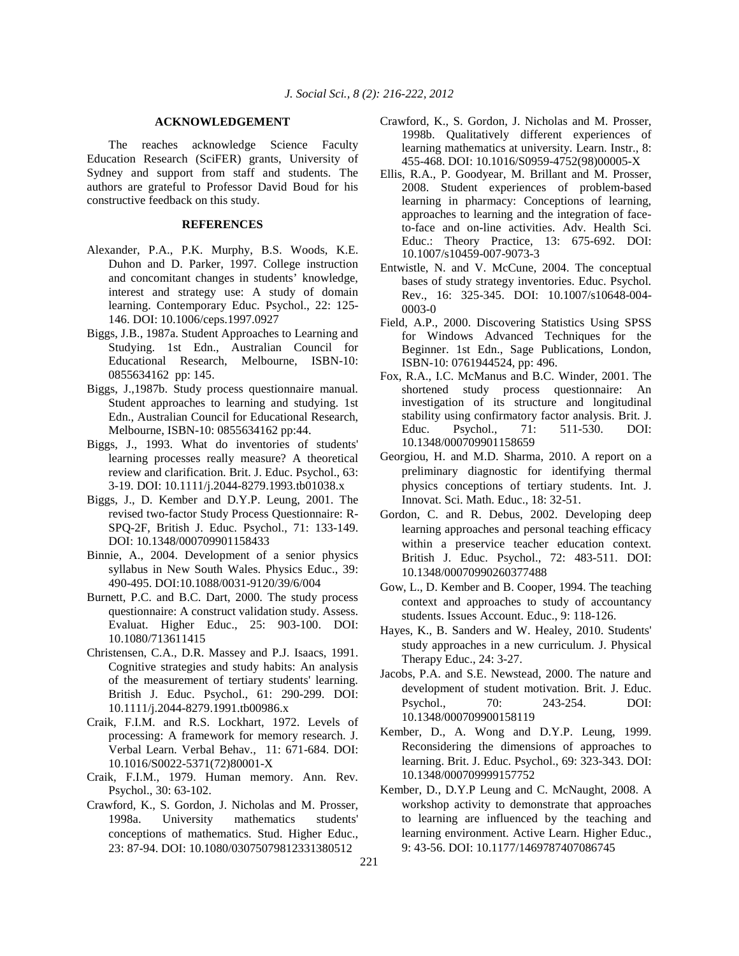### **ACKNOWLEDGEMENT**

 The reaches acknowledge Science Faculty Education Research (SciFER) grants, University of Sydney and support from staff and students. The authors are grateful to Professor David Boud for his constructive feedback on this study.

### **REFERENCES**

- Alexander, P.A., P.K. Murphy, B.S. Woods, K.E. Duhon and D. Parker, 1997. College instruction and concomitant changes in students' knowledge, interest and strategy use: A study of domain learning. Contemporary Educ. Psychol., 22: 125- 146. DOI: 10.1006/ceps.1997.0927
- Biggs, J.B., 1987a. Student Approaches to Learning and Studying. 1st Edn., Australian Council for Educational Research, Melbourne, ISBN-10: 0855634162 pp: 145.
- Biggs, J.,1987b. Study process questionnaire manual. Student approaches to learning and studying. 1st Edn., Australian Council for Educational Research, Melbourne, ISBN-10: 0855634162 pp:44.
- Biggs, J., 1993. What do inventories of students' learning processes really measure? A theoretical review and clarification. Brit. J. Educ. Psychol., 63: 3-19. DOI: 10.1111/j.2044-8279.1993.tb01038.x
- Biggs, J., D. Kember and D.Y.P. Leung, 2001. The revised two-factor Study Process Questionnaire: R-SPQ-2F, British J. Educ. Psychol., 71: 133-149. DOI: 10.1348/000709901158433
- Binnie, A., 2004. Development of a senior physics syllabus in New South Wales. Physics Educ., 39: 490-495. DOI:10.1088/0031-9120/39/6/004
- Burnett, P.C. and B.C. Dart, 2000. The study process questionnaire: A construct validation study. Assess. Evaluat. Higher Educ., 25: 903-100. DOI: 10.1080/713611415
- Christensen, C.A., D.R. Massey and P.J. Isaacs, 1991. Cognitive strategies and study habits: An analysis of the measurement of tertiary students' learning. British J. Educ. Psychol., 61: 290-299. DOI: 10.1111/j.2044-8279.1991.tb00986.x
- Craik, F.I.M. and R.S. Lockhart, 1972. Levels of processing: A framework for memory research. J. Verbal Learn. Verbal Behav., 11: 671-684. DOI: 10.1016/S0022-5371(72)80001-X
- Craik, F.I.M., 1979. Human memory. Ann. Rev. Psychol., 30: 63-102.
- Crawford, K., S. Gordon, J. Nicholas and M. Prosser, 1998a. University mathematics students' conceptions of mathematics. Stud. Higher Educ., 23: 87-94. DOI: 10.1080/03075079812331380512
- Crawford, K., S. Gordon, J. Nicholas and M. Prosser, 1998b. Qualitatively different experiences of learning mathematics at university. Learn. Instr., 8: 455-468. DOI: 10.1016/S0959-4752(98)00005-X
- Ellis, R.A., P. Goodyear, M. Brillant and M. Prosser, 2008. Student experiences of problem-based learning in pharmacy: Conceptions of learning, approaches to learning and the integration of faceto-face and on-line activities. Adv. Health Sci. Educ.: Theory Practice, 13: 675-692. DOI: 10.1007/s10459-007-9073-3
- Entwistle, N. and V. McCune, 2004. The conceptual bases of study strategy inventories. Educ. Psychol. Rev., 16: 325-345. DOI: 10.1007/s10648-004- 0003-0
- Field, A.P., 2000. Discovering Statistics Using SPSS for Windows Advanced Techniques for the Beginner. 1st Edn., Sage Publications, London, ISBN-10: 0761944524, pp: 496.
- Fox, R.A., I.C. McManus and B.C. Winder, 2001. The shortened study process questionnaire: An investigation of its structure and longitudinal stability using confirmatory factor analysis. Brit. J. Educ. Psychol., 71: 511-530. DOI: 10.1348/000709901158659
- Georgiou, H. and M.D. Sharma, 2010. A report on a preliminary diagnostic for identifying thermal physics conceptions of tertiary students. Int. J. Innovat. Sci. Math. Educ., 18: 32-51.
- Gordon, C. and R. Debus, 2002. Developing deep learning approaches and personal teaching efficacy within a preservice teacher education context. British J. Educ. Psychol., 72: 483-511. DOI: 10.1348/00070990260377488
- Gow, L., D. Kember and B. Cooper, 1994. The teaching context and approaches to study of accountancy students. Issues Account. Educ., 9: 118-126.
- Hayes, K., B. Sanders and W. Healey, 2010. Students' study approaches in a new curriculum. J. Physical Therapy Educ., 24: 3-27.
- Jacobs, P.A. and S.E. Newstead, 2000. The nature and development of student motivation. Brit. J. Educ. Psychol., 70: 243-254. DOI: 10.1348/000709900158119
- Kember, D., A. Wong and D.Y.P. Leung, 1999. Reconsidering the dimensions of approaches to learning. Brit. J. Educ. Psychol., 69: 323-343. DOI: 10.1348/000709999157752
- Kember, D., D.Y.P Leung and C. McNaught, 2008. A workshop activity to demonstrate that approaches to learning are influenced by the teaching and learning environment. Active Learn. Higher Educ., 9: 43-56. DOI: 10.1177/1469787407086745